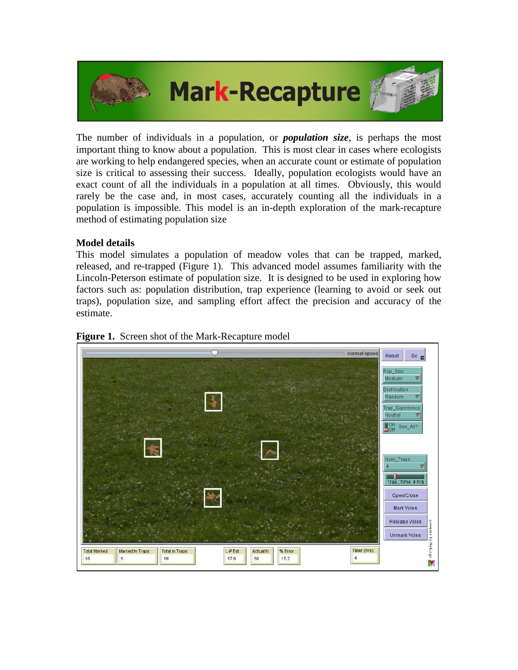

The number of individuals in a population, or *population size*, is perhaps the most important thing to know about a population. This is most clear in cases where ecologists are working to help endangered species, when an accurate count or estimate of population size is critical to assessing their success. Ideally, population ecologists would have an exact count of all the individuals in a population at all times. Obviously, this would rarely be the case and, in most cases, accurately counting all the individuals in a population is impossible. This model is an in-depth exploration of the mark-recapture method of estimating population size

## **Model details**

This model simulates a population of meadow voles that can be trapped, marked, released, and re-trapped (Figure 1). This advanced model assumes familiarity with the Lincoln-Peterson estimate of population size. It is designed to be used in exploring how factors such as: population distribution, trap experience (learning to avoid or seek out traps), population size, and sampling effort affect the precision and accuracy of the estimate.



**Figure 1.** Screen shot of the Mark-Recapture model